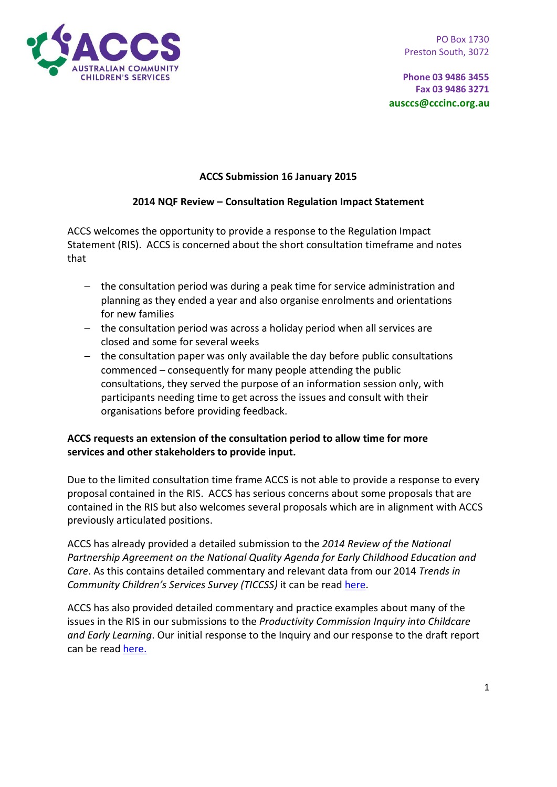

**Phone 03 9486 3455 Fax 03 9486 3271 ausccs@cccinc.org.au**

## **ACCS Submission 16 January 2015**

## **2014 NQF Review – Consultation Regulation Impact Statement**

ACCS welcomes the opportunity to provide a response to the Regulation Impact Statement (RIS). ACCS is concerned about the short consultation timeframe and notes that

- − the consultation period was during a peak time for service administration and planning as they ended a year and also organise enrolments and orientations for new families
- − the consultation period was across a holiday period when all services are closed and some for several weeks
- − the consultation paper was only available the day before public consultations commenced – consequently for many people attending the public consultations, they served the purpose of an information session only, with participants needing time to get across the issues and consult with their organisations before providing feedback.

## **ACCS requests an extension of the consultation period to allow time for more services and other stakeholders to provide input.**

Due to the limited consultation time frame ACCS is not able to provide a response to every proposal contained in the RIS. ACCS has serious concerns about some proposals that are contained in the RIS but also welcomes several proposals which are in alignment with ACCS previously articulated positions.

ACCS has already provided a detailed submission to the *2014 Review of the National Partnership Agreement on the National Quality Agenda for Early Childhood Education and Care*. As this contains detailed commentary and relevant data from our 2014 *Trends in Community Children's Services Survey (TICCSS)* it can be read here.

ACCS has also provided detailed commentary and practice examples about many of the issues in the RIS in our submissions to the *Productivity Commission Inquiry into Childcare and Early Learning*. Our initial response to the Inquiry and our response to the draft report can be read [here.](http://www.cccinc.org.au/accs/accs-submissions)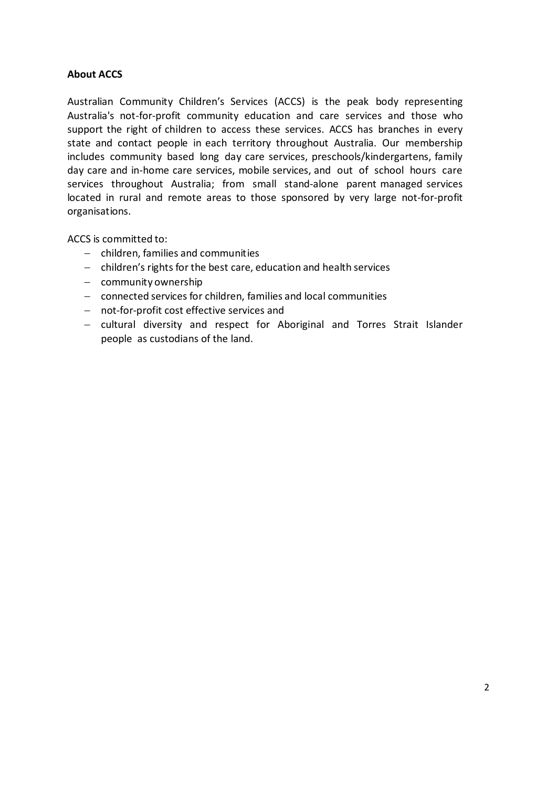## **About ACCS**

Australian Community Children's Services (ACCS) is the peak body representing Australia's not-for-profit community education and care services and those who support the right of children to access these services. ACCS has branches in every state and contact people in each territory throughout Australia. Our membership includes community based long day care services, preschools/kindergartens, family day care and in-home care services, mobile services, and out of school hours care services throughout Australia; from small stand-alone parent managed services located in rural and remote areas to those sponsored by very large not-for-profit organisations.

ACCS is committed to:

- − children, families and communities
- − children's rights for the best care, education and health services
- − community ownership
- − connected services for children, families and local communities
- − not-for-profit cost effective services and
- − cultural diversity and respect for Aboriginal and Torres Strait Islander people as custodians of the land.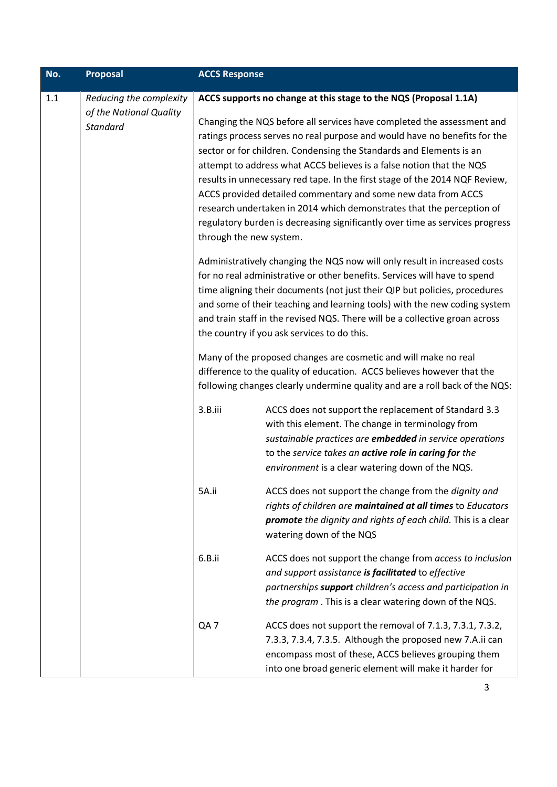| No. | <b>Proposal</b>                                                       | <b>ACCS Response</b>                                                                                                                                                                     |                                                                                                                                                                                                                                                                                                                                                                                                                                                                                                                                                                                                                                                                                                                                                                                                                                                                                                                                                                                                                                                                                     |
|-----|-----------------------------------------------------------------------|------------------------------------------------------------------------------------------------------------------------------------------------------------------------------------------|-------------------------------------------------------------------------------------------------------------------------------------------------------------------------------------------------------------------------------------------------------------------------------------------------------------------------------------------------------------------------------------------------------------------------------------------------------------------------------------------------------------------------------------------------------------------------------------------------------------------------------------------------------------------------------------------------------------------------------------------------------------------------------------------------------------------------------------------------------------------------------------------------------------------------------------------------------------------------------------------------------------------------------------------------------------------------------------|
| 1.1 | Reducing the complexity<br>of the National Quality<br><b>Standard</b> | through the new system.                                                                                                                                                                  | ACCS supports no change at this stage to the NQS (Proposal 1.1A)<br>Changing the NQS before all services have completed the assessment and<br>ratings process serves no real purpose and would have no benefits for the<br>sector or for children. Condensing the Standards and Elements is an<br>attempt to address what ACCS believes is a false notion that the NQS<br>results in unnecessary red tape. In the first stage of the 2014 NQF Review,<br>ACCS provided detailed commentary and some new data from ACCS<br>research undertaken in 2014 which demonstrates that the perception of<br>regulatory burden is decreasing significantly over time as services progress<br>Administratively changing the NQS now will only result in increased costs<br>for no real administrative or other benefits. Services will have to spend<br>time aligning their documents (not just their QIP but policies, procedures<br>and some of their teaching and learning tools) with the new coding system<br>and train staff in the revised NQS. There will be a collective groan across |
|     |                                                                       | the country if you ask services to do this.<br>Many of the proposed changes are cosmetic and will make no real<br>difference to the quality of education. ACCS believes however that the |                                                                                                                                                                                                                                                                                                                                                                                                                                                                                                                                                                                                                                                                                                                                                                                                                                                                                                                                                                                                                                                                                     |
|     |                                                                       | 3.B.iii                                                                                                                                                                                  | following changes clearly undermine quality and are a roll back of the NQS:<br>ACCS does not support the replacement of Standard 3.3<br>with this element. The change in terminology from<br>sustainable practices are embedded in service operations<br>to the service takes an active role in caring for the<br>environment is a clear watering down of the NQS.                                                                                                                                                                                                                                                                                                                                                                                                                                                                                                                                                                                                                                                                                                                  |
|     |                                                                       | 5A.ii                                                                                                                                                                                    | ACCS does not support the change from the dignity and<br>rights of children are maintained at all times to Educators<br>promote the dignity and rights of each child. This is a clear<br>watering down of the NQS                                                                                                                                                                                                                                                                                                                                                                                                                                                                                                                                                                                                                                                                                                                                                                                                                                                                   |
|     |                                                                       | 6.B.ii                                                                                                                                                                                   | ACCS does not support the change from access to inclusion<br>and support assistance is facilitated to effective<br>partnerships support children's access and participation in<br>the program. This is a clear watering down of the NQS.                                                                                                                                                                                                                                                                                                                                                                                                                                                                                                                                                                                                                                                                                                                                                                                                                                            |
|     |                                                                       | QA7                                                                                                                                                                                      | ACCS does not support the removal of 7.1.3, 7.3.1, 7.3.2,<br>7.3.3, 7.3.4, 7.3.5. Although the proposed new 7.A.ii can<br>encompass most of these, ACCS believes grouping them<br>into one broad generic element will make it harder for                                                                                                                                                                                                                                                                                                                                                                                                                                                                                                                                                                                                                                                                                                                                                                                                                                            |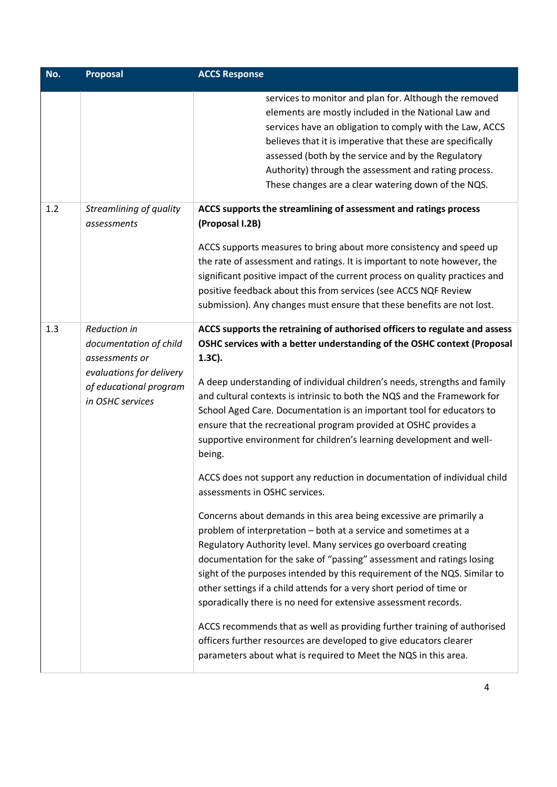| No. | <b>Proposal</b>                                                                                                                    | <b>ACCS Response</b>                                                                                                                                                                                                                                                                                                                                                                                                                                                                                                                                                                                                                                                                                                                                                                                                                                                                                                                                                                                                                                                                                                                                                                                                                                                                                                                                                                                        |
|-----|------------------------------------------------------------------------------------------------------------------------------------|-------------------------------------------------------------------------------------------------------------------------------------------------------------------------------------------------------------------------------------------------------------------------------------------------------------------------------------------------------------------------------------------------------------------------------------------------------------------------------------------------------------------------------------------------------------------------------------------------------------------------------------------------------------------------------------------------------------------------------------------------------------------------------------------------------------------------------------------------------------------------------------------------------------------------------------------------------------------------------------------------------------------------------------------------------------------------------------------------------------------------------------------------------------------------------------------------------------------------------------------------------------------------------------------------------------------------------------------------------------------------------------------------------------|
|     |                                                                                                                                    | services to monitor and plan for. Although the removed<br>elements are mostly included in the National Law and<br>services have an obligation to comply with the Law, ACCS<br>believes that it is imperative that these are specifically<br>assessed (both by the service and by the Regulatory<br>Authority) through the assessment and rating process.<br>These changes are a clear watering down of the NQS.                                                                                                                                                                                                                                                                                                                                                                                                                                                                                                                                                                                                                                                                                                                                                                                                                                                                                                                                                                                             |
| 1.2 | Streamlining of quality<br>assessments                                                                                             | ACCS supports the streamlining of assessment and ratings process<br>(Proposal I.2B)<br>ACCS supports measures to bring about more consistency and speed up<br>the rate of assessment and ratings. It is important to note however, the<br>significant positive impact of the current process on quality practices and<br>positive feedback about this from services (see ACCS NQF Review<br>submission). Any changes must ensure that these benefits are not lost.                                                                                                                                                                                                                                                                                                                                                                                                                                                                                                                                                                                                                                                                                                                                                                                                                                                                                                                                          |
| 1.3 | Reduction in<br>documentation of child<br>assessments or<br>evaluations for delivery<br>of educational program<br>in OSHC services | ACCS supports the retraining of authorised officers to regulate and assess<br>OSHC services with a better understanding of the OSHC context (Proposal<br>$1.3C$ ).<br>A deep understanding of individual children's needs, strengths and family<br>and cultural contexts is intrinsic to both the NQS and the Framework for<br>School Aged Care. Documentation is an important tool for educators to<br>ensure that the recreational program provided at OSHC provides a<br>supportive environment for children's learning development and well-<br>being.<br>ACCS does not support any reduction in documentation of individual child<br>assessments in OSHC services.<br>Concerns about demands in this area being excessive are primarily a<br>problem of interpretation - both at a service and sometimes at a<br>Regulatory Authority level. Many services go overboard creating<br>documentation for the sake of "passing" assessment and ratings losing<br>sight of the purposes intended by this requirement of the NQS. Similar to<br>other settings if a child attends for a very short period of time or<br>sporadically there is no need for extensive assessment records.<br>ACCS recommends that as well as providing further training of authorised<br>officers further resources are developed to give educators clearer<br>parameters about what is required to Meet the NQS in this area. |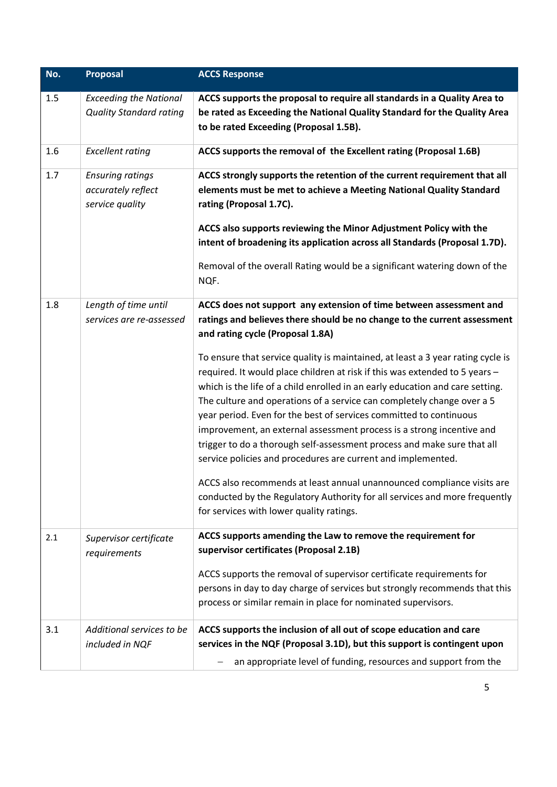| No. | Proposal                              | <b>ACCS Response</b>                                                                                                                             |
|-----|---------------------------------------|--------------------------------------------------------------------------------------------------------------------------------------------------|
| 1.5 | <b>Exceeding the National</b>         | ACCS supports the proposal to require all standards in a Quality Area to                                                                         |
|     | <b>Quality Standard rating</b>        | be rated as Exceeding the National Quality Standard for the Quality Area                                                                         |
|     |                                       | to be rated Exceeding (Proposal 1.5B).                                                                                                           |
| 1.6 | <b>Excellent rating</b>               | ACCS supports the removal of the Excellent rating (Proposal 1.6B)                                                                                |
| 1.7 | <b>Ensuring ratings</b>               | ACCS strongly supports the retention of the current requirement that all                                                                         |
|     | accurately reflect<br>service quality | elements must be met to achieve a Meeting National Quality Standard<br>rating (Proposal 1.7C).                                                   |
|     |                                       | ACCS also supports reviewing the Minor Adjustment Policy with the                                                                                |
|     |                                       | intent of broadening its application across all Standards (Proposal 1.7D).                                                                       |
|     |                                       | Removal of the overall Rating would be a significant watering down of the<br>NQF.                                                                |
| 1.8 | Length of time until                  | ACCS does not support any extension of time between assessment and                                                                               |
|     | services are re-assessed              | ratings and believes there should be no change to the current assessment<br>and rating cycle (Proposal 1.8A)                                     |
|     |                                       | To ensure that service quality is maintained, at least a 3 year rating cycle is                                                                  |
|     |                                       | required. It would place children at risk if this was extended to 5 years -                                                                      |
|     |                                       | which is the life of a child enrolled in an early education and care setting.                                                                    |
|     |                                       | The culture and operations of a service can completely change over a 5                                                                           |
|     |                                       | year period. Even for the best of services committed to continuous                                                                               |
|     |                                       | improvement, an external assessment process is a strong incentive and<br>trigger to do a thorough self-assessment process and make sure that all |
|     |                                       | service policies and procedures are current and implemented.                                                                                     |
|     |                                       | ACCS also recommends at least annual unannounced compliance visits are                                                                           |
|     |                                       | conducted by the Regulatory Authority for all services and more frequently                                                                       |
|     |                                       | for services with lower quality ratings.                                                                                                         |
| 2.1 | Supervisor certificate                | ACCS supports amending the Law to remove the requirement for                                                                                     |
|     | requirements                          | supervisor certificates (Proposal 2.1B)                                                                                                          |
|     |                                       | ACCS supports the removal of supervisor certificate requirements for                                                                             |
|     |                                       | persons in day to day charge of services but strongly recommends that this                                                                       |
|     |                                       | process or similar remain in place for nominated supervisors.                                                                                    |
| 3.1 | Additional services to be             | ACCS supports the inclusion of all out of scope education and care                                                                               |
|     | included in NQF                       | services in the NQF (Proposal 3.1D), but this support is contingent upon                                                                         |
|     |                                       | an appropriate level of funding, resources and support from the                                                                                  |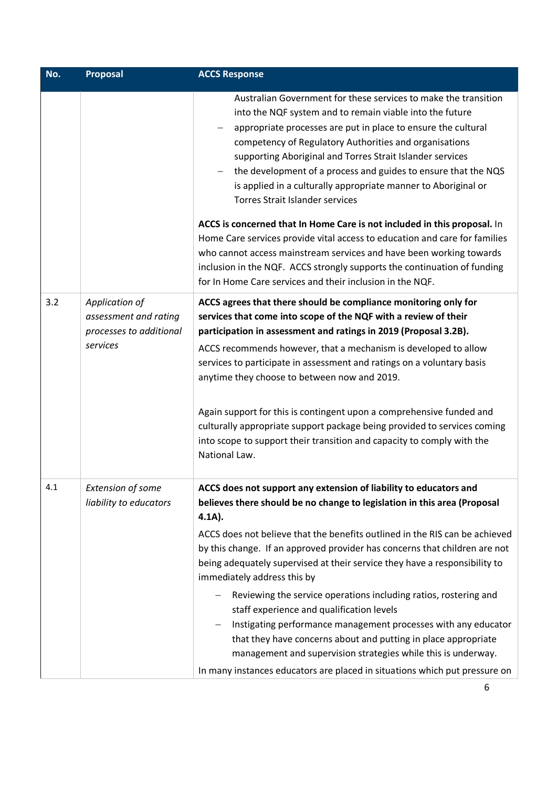| No. | <b>Proposal</b>                                                                | <b>ACCS Response</b>                                                                                                                                                                                                                                                                                                                                                                                                                                                                                                                                                                                                                                                                                                                                                                                                                     |
|-----|--------------------------------------------------------------------------------|------------------------------------------------------------------------------------------------------------------------------------------------------------------------------------------------------------------------------------------------------------------------------------------------------------------------------------------------------------------------------------------------------------------------------------------------------------------------------------------------------------------------------------------------------------------------------------------------------------------------------------------------------------------------------------------------------------------------------------------------------------------------------------------------------------------------------------------|
|     |                                                                                | Australian Government for these services to make the transition<br>into the NQF system and to remain viable into the future<br>appropriate processes are put in place to ensure the cultural<br>competency of Regulatory Authorities and organisations<br>supporting Aboriginal and Torres Strait Islander services<br>the development of a process and guides to ensure that the NQS<br>is applied in a culturally appropriate manner to Aboriginal or<br><b>Torres Strait Islander services</b>                                                                                                                                                                                                                                                                                                                                        |
|     |                                                                                | ACCS is concerned that In Home Care is not included in this proposal. In<br>Home Care services provide vital access to education and care for families<br>who cannot access mainstream services and have been working towards<br>inclusion in the NQF. ACCS strongly supports the continuation of funding<br>for In Home Care services and their inclusion in the NQF.                                                                                                                                                                                                                                                                                                                                                                                                                                                                   |
| 3.2 | Application of<br>assessment and rating<br>processes to additional<br>services | ACCS agrees that there should be compliance monitoring only for<br>services that come into scope of the NQF with a review of their<br>participation in assessment and ratings in 2019 (Proposal 3.2B).<br>ACCS recommends however, that a mechanism is developed to allow<br>services to participate in assessment and ratings on a voluntary basis<br>anytime they choose to between now and 2019.<br>Again support for this is contingent upon a comprehensive funded and<br>culturally appropriate support package being provided to services coming<br>into scope to support their transition and capacity to comply with the<br>National Law.                                                                                                                                                                                       |
| 4.1 | <b>Extension of some</b><br>liability to educators                             | ACCS does not support any extension of liability to educators and<br>believes there should be no change to legislation in this area (Proposal<br>$4.1A$ ).<br>ACCS does not believe that the benefits outlined in the RIS can be achieved<br>by this change. If an approved provider has concerns that children are not<br>being adequately supervised at their service they have a responsibility to<br>immediately address this by<br>Reviewing the service operations including ratios, rostering and<br>staff experience and qualification levels<br>Instigating performance management processes with any educator<br>that they have concerns about and putting in place appropriate<br>management and supervision strategies while this is underway.<br>In many instances educators are placed in situations which put pressure on |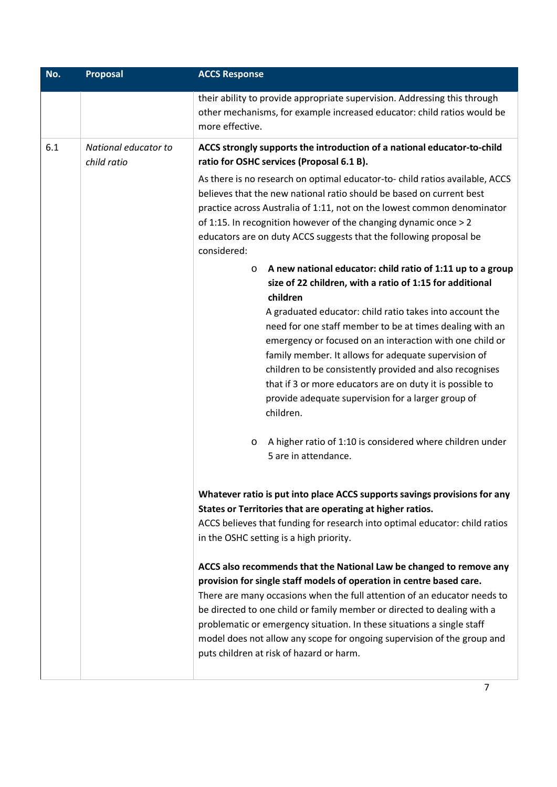| No. | Proposal                            | <b>ACCS Response</b>                                                                                                                                                                                                                                                                                                                                                                                                                                                                                                                                                                                                                              |
|-----|-------------------------------------|---------------------------------------------------------------------------------------------------------------------------------------------------------------------------------------------------------------------------------------------------------------------------------------------------------------------------------------------------------------------------------------------------------------------------------------------------------------------------------------------------------------------------------------------------------------------------------------------------------------------------------------------------|
|     |                                     | their ability to provide appropriate supervision. Addressing this through<br>other mechanisms, for example increased educator: child ratios would be<br>more effective.                                                                                                                                                                                                                                                                                                                                                                                                                                                                           |
| 6.1 | National educator to<br>child ratio | ACCS strongly supports the introduction of a national educator-to-child<br>ratio for OSHC services (Proposal 6.1 B).                                                                                                                                                                                                                                                                                                                                                                                                                                                                                                                              |
|     |                                     | As there is no research on optimal educator-to-child ratios available, ACCS<br>believes that the new national ratio should be based on current best<br>practice across Australia of 1:11, not on the lowest common denominator<br>of 1:15. In recognition however of the changing dynamic once > 2<br>educators are on duty ACCS suggests that the following proposal be<br>considered:                                                                                                                                                                                                                                                           |
|     |                                     | A new national educator: child ratio of 1:11 up to a group<br>$\circ$<br>size of 22 children, with a ratio of 1:15 for additional<br>children                                                                                                                                                                                                                                                                                                                                                                                                                                                                                                     |
|     |                                     | A graduated educator: child ratio takes into account the<br>need for one staff member to be at times dealing with an<br>emergency or focused on an interaction with one child or<br>family member. It allows for adequate supervision of<br>children to be consistently provided and also recognises<br>that if 3 or more educators are on duty it is possible to<br>provide adequate supervision for a larger group of<br>children.                                                                                                                                                                                                              |
|     |                                     | A higher ratio of 1:10 is considered where children under<br>$\circ$<br>5 are in attendance.                                                                                                                                                                                                                                                                                                                                                                                                                                                                                                                                                      |
|     |                                     | Whatever ratio is put into place ACCS supports savings provisions for any<br>States or Territories that are operating at higher ratios.<br>ACCS believes that funding for research into optimal educator: child ratios<br>in the OSHC setting is a high priority.<br>ACCS also recommends that the National Law be changed to remove any<br>provision for single staff models of operation in centre based care.<br>There are many occasions when the full attention of an educator needs to<br>be directed to one child or family member or directed to dealing with a<br>problematic or emergency situation. In these situations a single staff |
|     |                                     | model does not allow any scope for ongoing supervision of the group and<br>puts children at risk of hazard or harm.                                                                                                                                                                                                                                                                                                                                                                                                                                                                                                                               |